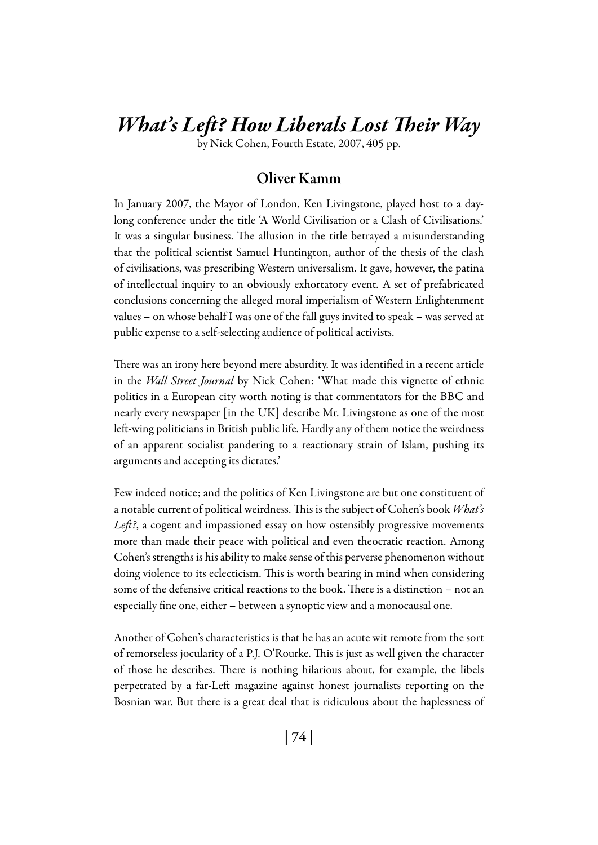# *What's Left? How Liberals Lost Their Way*

by Nick Cohen, Fourth Estate, 2007, 405 pp.

#### Oliver Kamm

In January 2007, the Mayor of London, Ken Livingstone, played host to a daylong conference under the title 'A World Civilisation or a Clash of Civilisations.' It was a singular business. The allusion in the title betrayed a misunderstanding that the political scientist Samuel Huntington, author of the thesis of the clash of civilisations, was prescribing Western universalism. It gave, however, the patina of intellectual inquiry to an obviously exhortatory event. A set of prefabricated conclusions concerning the alleged moral imperialism of Western Enlightenment values – on whose behalf I was one of the fall guys invited to speak – was served at public expense to a self-selecting audience of political activists.

There was an irony here beyond mere absurdity. It was identified in a recent article in the *Wall Street Journal* by Nick Cohen: 'What made this vignette of ethnic politics in a European city worth noting is that commentators for the BBC and nearly every newspaper [in the UK] describe Mr. Livingstone as one of the most left-wing politicians in British public life. Hardly any of them notice the weirdness of an apparent socialist pandering to a reactionary strain of Islam, pushing its arguments and accepting its dictates.'

Few indeed notice; and the politics of Ken Livingstone are but one constituent of a notable current of political weirdness. This is the subject of Cohen's book *What's Left?*, a cogent and impassioned essay on how ostensibly progressive movements more than made their peace with political and even theocratic reaction. Among Cohen's strengths is his ability to make sense of this perverse phenomenon without doing violence to its eclecticism. This is worth bearing in mind when considering some of the defensive critical reactions to the book. There is a distinction – not an especially fine one, either – between a synoptic view and a monocausal one.

Another of Cohen's characteristics is that he has an acute wit remote from the sort of remorseless jocularity of a P.J. O'Rourke. This is just as well given the character of those he describes. There is nothing hilarious about, for example, the libels perpetrated by a far-Left magazine against honest journalists reporting on the Bosnian war. But there is a great deal that is ridiculous about the haplessness of

| 74 |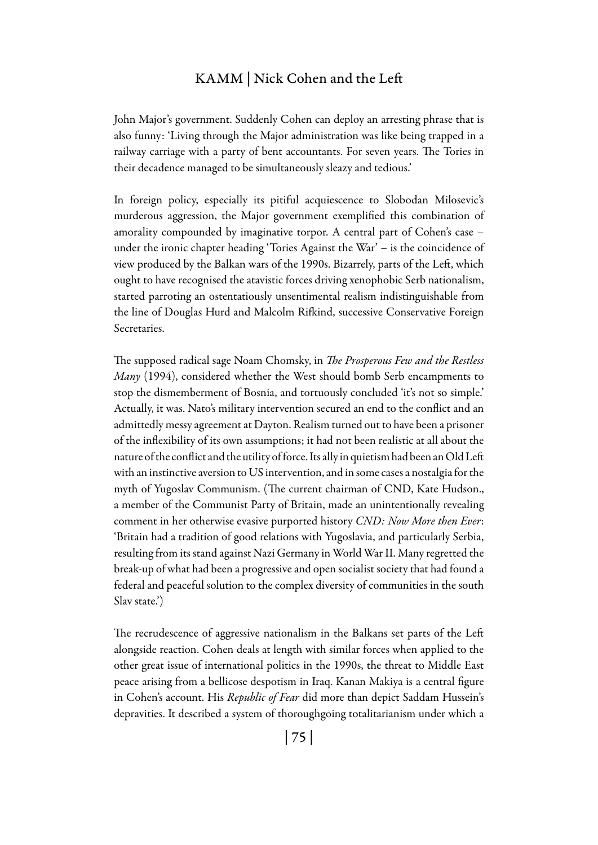### KAMM | Nick Cohen and the Left

John Major's government. Suddenly Cohen can deploy an arresting phrase that is also funny: 'Living through the Major administration was like being trapped in a railway carriage with a party of bent accountants. For seven years. The Tories in their decadence managed to be simultaneously sleazy and tedious.'

In foreign policy, especially its pitiful acquiescence to Slobodan Milosevic's murderous aggression, the Major government exemplified this combination of amorality compounded by imaginative torpor. A central part of Cohen's case – under the ironic chapter heading 'Tories Against the War' – is the coincidence of view produced by the Balkan wars of the 1990s. Bizarrely, parts of the Left, which ought to have recognised the atavistic forces driving xenophobic Serb nationalism, started parroting an ostentatiously unsentimental realism indistinguishable from the line of Douglas Hurd and Malcolm Rifkind, successive Conservative Foreign Secretaries.

The supposed radical sage Noam Chomsky, in *The Prosperous Few and the Restless Many* (1994), considered whether the West should bomb Serb encampments to stop the dismemberment of Bosnia, and tortuously concluded 'it's not so simple.' Actually, it was. Nato's military intervention secured an end to the conflict and an admittedly messy agreement at Dayton. Realism turned out to have been a prisoner of the inflexibility of its own assumptions; it had not been realistic at all about the nature of the conflict and the utility of force. Its ally in quietism had been an Old Left with an instinctive aversion to US intervention, and in some cases a nostalgia for the myth of Yugoslav Communism. (The current chairman of CND, Kate Hudson., a member of the Communist Party of Britain, made an unintentionally revealing comment in her otherwise evasive purported history *CND: Now More then Ever*: 'Britain had a tradition of good relations with Yugoslavia, and particularly Serbia, resulting from its stand against Nazi Germany in World War II. Many regretted the break-up of what had been a progressive and open socialist society that had found a federal and peaceful solution to the complex diversity of communities in the south Slav state.')

The recrudescence of aggressive nationalism in the Balkans set parts of the Left alongside reaction. Cohen deals at length with similar forces when applied to the other great issue of international politics in the 1990s, the threat to Middle East peace arising from a bellicose despotism in Iraq. Kanan Makiya is a central figure in Cohen's account. His *Republic of Fear* did more than depict Saddam Hussein's depravities. It described a system of thoroughgoing totalitarianism under which a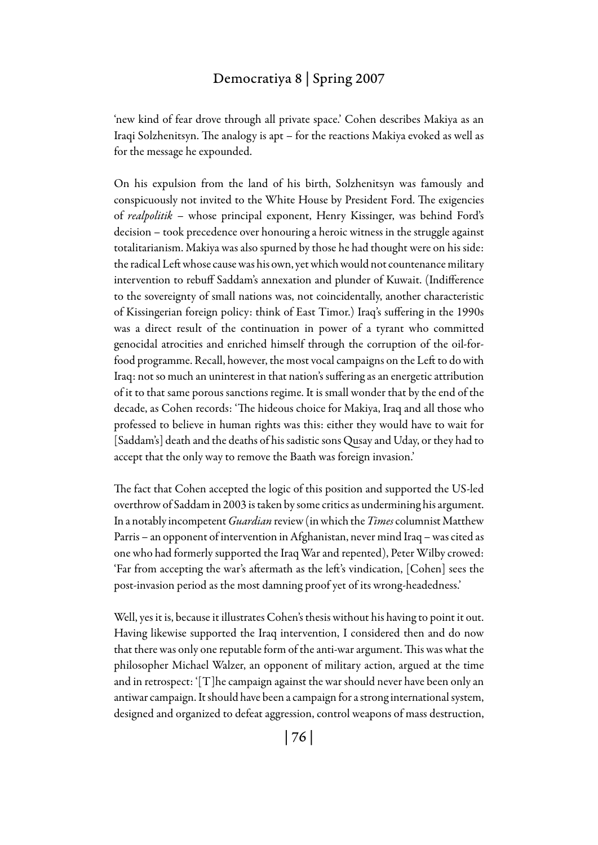#### Democratiya 8 | Spring 2007

'new kind of fear drove through all private space.' Cohen describes Makiya as an Iraqi Solzhenitsyn. The analogy is apt – for the reactions Makiya evoked as well as for the message he expounded.

On his expulsion from the land of his birth, Solzhenitsyn was famously and conspicuously not invited to the White House by President Ford. The exigencies of *realpolitik* – whose principal exponent, Henry Kissinger, was behind Ford's decision – took precedence over honouring a heroic witness in the struggle against totalitarianism. Makiya was also spurned by those he had thought were on his side: the radical Left whose cause was his own, yet which would not countenance military intervention to rebuff Saddam's annexation and plunder of Kuwait. (Indifference to the sovereignty of small nations was, not coincidentally, another characteristic of Kissingerian foreign policy: think of East Timor.) Iraq's suffering in the 1990s was a direct result of the continuation in power of a tyrant who committed genocidal atrocities and enriched himself through the corruption of the oil-forfood programme. Recall, however, the most vocal campaigns on the Left to do with Iraq: not so much an uninterest in that nation's suffering as an energetic attribution of it to that same porous sanctions regime. It is small wonder that by the end of the decade, as Cohen records: 'The hideous choice for Makiya, Iraq and all those who professed to believe in human rights was this: either they would have to wait for [Saddam's] death and the deaths of his sadistic sons Qusay and Uday, or they had to accept that the only way to remove the Baath was foreign invasion.'

The fact that Cohen accepted the logic of this position and supported the US-led overthrow of Saddam in 2003 is taken by some critics as undermining his argument. In a notably incompetent *Guardian* review (in which the *Times* columnist Matthew Parris – an opponent of intervention in Afghanistan, never mind Iraq – was cited as one who had formerly supported the Iraq War and repented), Peter Wilby crowed: 'Far from accepting the war's aftermath as the left's vindication, [Cohen] sees the post-invasion period as the most damning proof yet of its wrong-headedness.'

Well, yes it is, because it illustrates Cohen's thesis without his having to point it out. Having likewise supported the Iraq intervention, I considered then and do now that there was only one reputable form of the anti-war argument. This was what the philosopher Michael Walzer, an opponent of military action, argued at the time and in retrospect: '[T]he campaign against the war should never have been only an antiwar campaign. It should have been a campaign for a strong international system, designed and organized to defeat aggression, control weapons of mass destruction,

| 76 |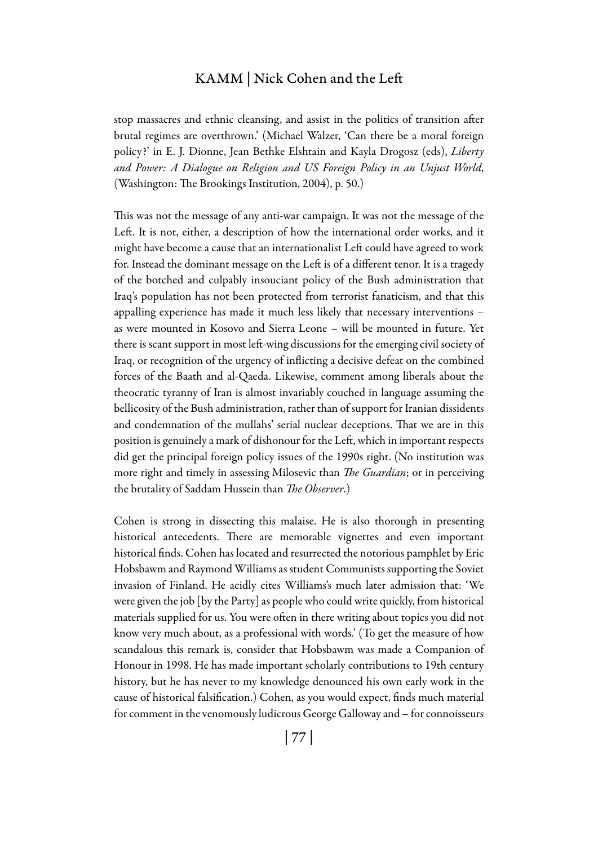#### KAMM | Nick Cohen and the Left

stop massacres and ethnic cleansing, and assist in the politics of transition after brutal regimes are overthrown.' (Michael Walzer, 'Can there be a moral foreign policy?' in E. J. Dionne, Jean Bethke Elshtain and Kayla Drogosz (eds), *Liberty and Power: A Dialogue on Religion and US Foreign Policy in an Unjust World*, (Washington: The Brookings Institution, 2004), p. 50.)

This was not the message of any anti-war campaign. It was not the message of the Left. It is not, either, a description of how the international order works, and it might have become a cause that an internationalist Left could have agreed to work for. Instead the dominant message on the Left is of a different tenor. It is a tragedy of the botched and culpably insouciant policy of the Bush administration that Iraq's population has not been protected from terrorist fanaticism, and that this appalling experience has made it much less likely that necessary interventions – as were mounted in Kosovo and Sierra Leone – will be mounted in future. Yet there is scant support in most left-wing discussions for the emerging civil society of Iraq, or recognition of the urgency of inflicting a decisive defeat on the combined forces of the Baath and al-Qaeda. Likewise, comment among liberals about the theocratic tyranny of Iran is almost invariably couched in language assuming the bellicosity of the Bush administration, rather than of support for Iranian dissidents and condemnation of the mullahs' serial nuclear deceptions. That we are in this position is genuinely a mark of dishonour for the Left, which in important respects did get the principal foreign policy issues of the 1990s right. (No institution was more right and timely in assessing Milosevic than *The Guardian*; or in perceiving the brutality of Saddam Hussein than *The Observer*.)

Cohen is strong in dissecting this malaise. He is also thorough in presenting historical antecedents. There are memorable vignettes and even important historical finds. Cohen has located and resurrected the notorious pamphlet by Eric Hobsbawm and Raymond Williams as student Communists supporting the Soviet invasion of Finland. He acidly cites Williams's much later admission that: 'We were given the job [by the Party] as people who could write quickly, from historical materials supplied for us. You were often in there writing about topics you did not know very much about, as a professional with words.' (To get the measure of how scandalous this remark is, consider that Hobsbawm was made a Companion of Honour in 1998. He has made important scholarly contributions to 19th century history, but he has never to my knowledge denounced his own early work in the cause of historical falsification.) Cohen, as you would expect, finds much material for comment in the venomously ludicrous George Galloway and – for connoisseurs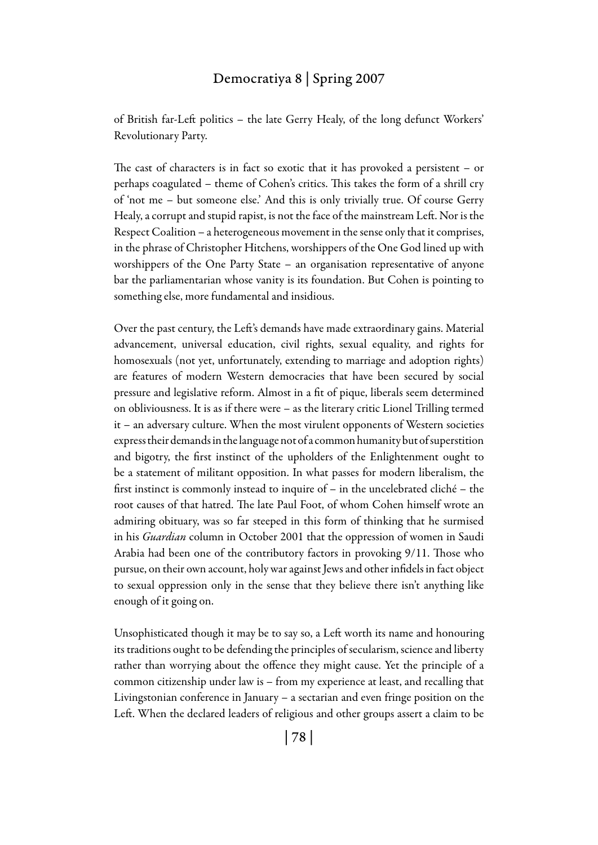#### Democratiya 8 | Spring 2007

of British far-Left politics – the late Gerry Healy, of the long defunct Workers' Revolutionary Party.

The cast of characters is in fact so exotic that it has provoked a persistent – or perhaps coagulated – theme of Cohen's critics. This takes the form of a shrill cry of 'not me – but someone else.' And this is only trivially true. Of course Gerry Healy, a corrupt and stupid rapist, is not the face of the mainstream Left. Nor is the Respect Coalition – a heterogeneous movement in the sense only that it comprises, in the phrase of Christopher Hitchens, worshippers of the One God lined up with worshippers of the One Party State – an organisation representative of anyone bar the parliamentarian whose vanity is its foundation. But Cohen is pointing to something else, more fundamental and insidious.

Over the past century, the Left's demands have made extraordinary gains. Material advancement, universal education, civil rights, sexual equality, and rights for homosexuals (not yet, unfortunately, extending to marriage and adoption rights) are features of modern Western democracies that have been secured by social pressure and legislative reform. Almost in a fit of pique, liberals seem determined on obliviousness. It is as if there were – as the literary critic Lionel Trilling termed it – an adversary culture. When the most virulent opponents of Western societies express their demands in the language not of a common humanity but of superstition and bigotry, the first instinct of the upholders of the Enlightenment ought to be a statement of militant opposition. In what passes for modern liberalism, the first instinct is commonly instead to inquire of – in the uncelebrated cliché – the root causes of that hatred. The late Paul Foot, of whom Cohen himself wrote an admiring obituary, was so far steeped in this form of thinking that he surmised in his *Guardian* column in October 2001 that the oppression of women in Saudi Arabia had been one of the contributory factors in provoking 9/11. Those who pursue, on their own account, holy war against Jews and other infidels in fact object to sexual oppression only in the sense that they believe there isn't anything like enough of it going on.

Unsophisticated though it may be to say so, a Left worth its name and honouring its traditions ought to be defending the principles of secularism, science and liberty rather than worrying about the offence they might cause. Yet the principle of a common citizenship under law is – from my experience at least, and recalling that Livingstonian conference in January – a sectarian and even fringe position on the Left. When the declared leaders of religious and other groups assert a claim to be